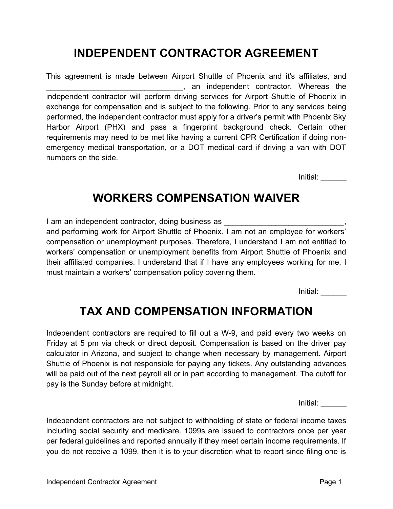## INDEPENDENT CONTRACTOR AGREEMENT

This agreement is made between Airport Shuttle of Phoenix and it's affiliates, and \_\_\_\_\_\_\_\_\_\_\_\_\_\_\_\_\_\_\_\_\_\_\_\_\_\_\_\_\_\_\_\_, an independent contractor. Whereas the independent contractor will perform driving services for Airport Shuttle of Phoenix in exchange for compensation and is subject to the following. Prior to any services being performed, the independent contractor must apply for a driver's permit with Phoenix Sky Harbor Airport (PHX) and pass a fingerprint background check. Certain other requirements may need to be met like having a current CPR Certification if doing nonemergency medical transportation, or a DOT medical card if driving a van with DOT numbers on the side.

Initial: \_\_\_\_\_\_

#### WORKERS COMPENSATION WAIVER

I am an independent contractor, doing business as and performing work for Airport Shuttle of Phoenix. I am not an employee for workers' compensation or unemployment purposes. Therefore, I understand I am not entitled to workers' compensation or unemployment benefits from Airport Shuttle of Phoenix and their affiliated companies. I understand that if I have any employees working for me, I must maintain a workers' compensation policy covering them.

Initial: \_\_\_\_\_\_

# TAX AND COMPENSATION INFORMATION

Independent contractors are required to fill out a W-9, and paid every two weeks on Friday at 5 pm via check or direct deposit. Compensation is based on the driver pay calculator in Arizona, and subject to change when necessary by management. Airport Shuttle of Phoenix is not responsible for paying any tickets. Any outstanding advances will be paid out of the next payroll all or in part according to management. The cutoff for pay is the Sunday before at midnight.

Initial: \_\_\_\_\_\_

Independent contractors are not subject to withholding of state or federal income taxes including social security and medicare. 1099s are issued to contractors once per year per federal guidelines and reported annually if they meet certain income requirements. If you do not receive a 1099, then it is to your discretion what to report since filing one is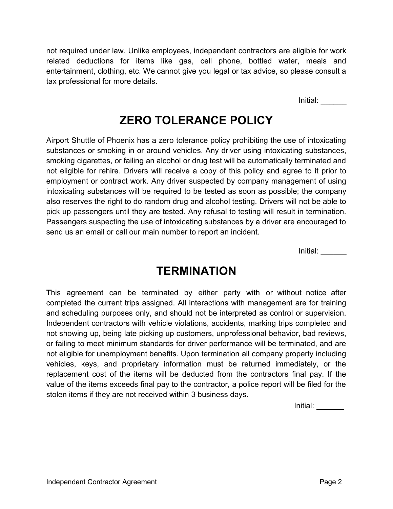not required under law. Unlike employees, independent contractors are eligible for work related deductions for items like gas, cell phone, bottled water, meals and entertainment, clothing, etc. We cannot give you legal or tax advice, so please consult a tax professional for more details.

Initial: \_\_\_\_\_\_

# ZERO TOLERANCE POLICY

Airport Shuttle of Phoenix has a zero tolerance policy prohibiting the use of intoxicating substances or smoking in or around vehicles. Any driver using intoxicating substances, smoking cigarettes, or failing an alcohol or drug test will be automatically terminated and not eligible for rehire. Drivers will receive a copy of this policy and agree to it prior to employment or contract work. Any driver suspected by company management of using intoxicating substances will be required to be tested as soon as possible; the company also reserves the right to do random drug and alcohol testing. Drivers will not be able to pick up passengers until they are tested. Any refusal to testing will result in termination. Passengers suspecting the use of intoxicating substances by a driver are encouraged to send us an email or call our main number to report an incident.

Initial: \_\_\_\_\_\_

#### **TERMINATION**

This agreement can be terminated by either party with or without notice after completed the current trips assigned. All interactions with management are for training and scheduling purposes only, and should not be interpreted as control or supervision. Independent contractors with vehicle violations, accidents, marking trips completed and not showing up, being late picking up customers, unprofessional behavior, bad reviews, or failing to meet minimum standards for driver performance will be terminated, and are not eligible for unemployment benefits. Upon termination all company property including vehicles, keys, and proprietary information must be returned immediately, or the replacement cost of the items will be deducted from the contractors final pay. If the value of the items exceeds final pay to the contractor, a police report will be filed for the stolen items if they are not received within 3 business days.

Initial: